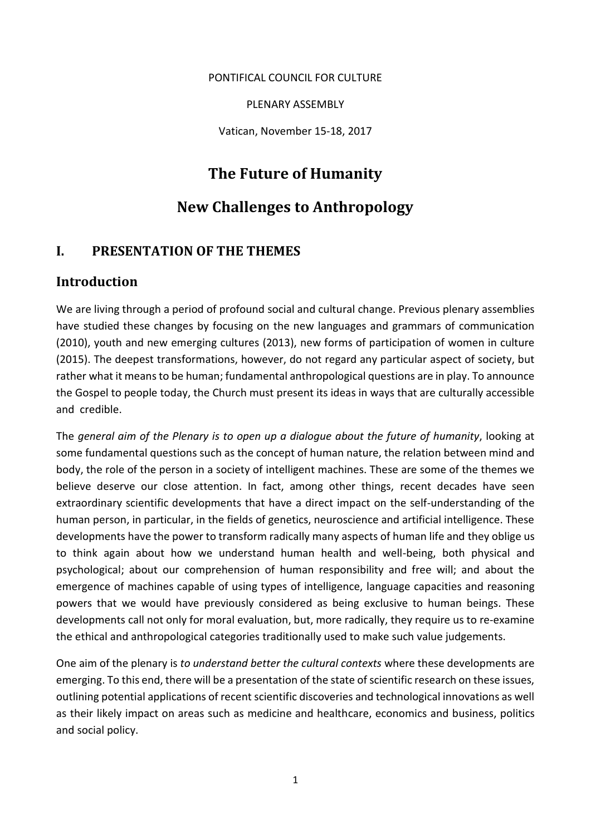#### PONTIFICAL COUNCIL FOR CULTURE

PLENARY ASSEMBLY

Vatican, November 15-18, 2017

## **The Future of Humanity**

# **New Challenges to Anthropology**

#### **I. PRESENTATION OF THE THEMES**

#### **Introduction**

We are living through a period of profound social and cultural change. Previous plenary assemblies have studied these changes by focusing on the new languages and grammars of communication (2010), youth and new emerging cultures (2013), new forms of participation of women in culture (2015). The deepest transformations, however, do not regard any particular aspect of society, but rather what it means to be human; fundamental anthropological questions are in play. To announce the Gospel to people today, the Church must present its ideas in ways that are culturally accessible and credible.

The *general aim of the Plenary is to open up a dialogue about the future of humanity*, looking at some fundamental questions such as the concept of human nature, the relation between mind and body, the role of the person in a society of intelligent machines. These are some of the themes we believe deserve our close attention. In fact, among other things, recent decades have seen extraordinary scientific developments that have a direct impact on the self-understanding of the human person, in particular, in the fields of genetics, neuroscience and artificial intelligence. These developments have the power to transform radically many aspects of human life and they oblige us to think again about how we understand human health and well-being, both physical and psychological; about our comprehension of human responsibility and free will; and about the emergence of machines capable of using types of intelligence, language capacities and reasoning powers that we would have previously considered as being exclusive to human beings. These developments call not only for moral evaluation, but, more radically, they require us to re-examine the ethical and anthropological categories traditionally used to make such value judgements.

One aim of the plenary is *to understand better the cultural contexts* where these developments are emerging. To this end, there will be a presentation of the state of scientific research on these issues, outlining potential applications of recent scientific discoveries and technological innovations as well as their likely impact on areas such as medicine and healthcare, economics and business, politics and social policy.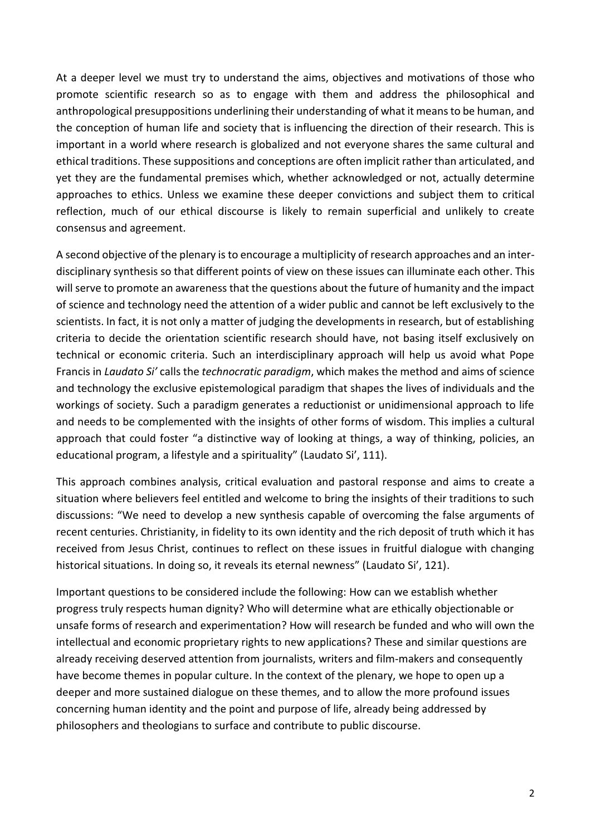At a deeper level we must try to understand the aims, objectives and motivations of those who promote scientific research so as to engage with them and address the philosophical and anthropological presuppositions underlining their understanding of what it means to be human, and the conception of human life and society that is influencing the direction of their research. This is important in a world where research is globalized and not everyone shares the same cultural and ethical traditions. These suppositions and conceptions are often implicit rather than articulated, and yet they are the fundamental premises which, whether acknowledged or not, actually determine approaches to ethics. Unless we examine these deeper convictions and subject them to critical reflection, much of our ethical discourse is likely to remain superficial and unlikely to create consensus and agreement.

A second objective of the plenary is to encourage a multiplicity of research approaches and an interdisciplinary synthesis so that different points of view on these issues can illuminate each other. This will serve to promote an awareness that the questions about the future of humanity and the impact of science and technology need the attention of a wider public and cannot be left exclusively to the scientists. In fact, it is not only a matter of judging the developments in research, but of establishing criteria to decide the orientation scientific research should have, not basing itself exclusively on technical or economic criteria. Such an interdisciplinary approach will help us avoid what Pope Francis in *Laudato Si'* calls the *technocratic paradigm*, which makes the method and aims of science and technology the exclusive epistemological paradigm that shapes the lives of individuals and the workings of society. Such a paradigm generates a reductionist or unidimensional approach to life and needs to be complemented with the insights of other forms of wisdom. This implies a cultural approach that could foster "a distinctive way of looking at things, a way of thinking, policies, an educational program, a lifestyle and a spirituality" (Laudato Si', 111).

This approach combines analysis, critical evaluation and pastoral response and aims to create a situation where believers feel entitled and welcome to bring the insights of their traditions to such discussions: "We need to develop a new synthesis capable of overcoming the false arguments of recent centuries. Christianity, in fidelity to its own identity and the rich deposit of truth which it has received from Jesus Christ, continues to reflect on these issues in fruitful dialogue with changing historical situations. In doing so, it reveals its eternal newness" (Laudato Si', 121).

Important questions to be considered include the following: How can we establish whether progress truly respects human dignity? Who will determine what are ethically objectionable or unsafe forms of research and experimentation? How will research be funded and who will own the intellectual and economic proprietary rights to new applications? These and similar questions are already receiving deserved attention from journalists, writers and film-makers and consequently have become themes in popular culture. In the context of the plenary, we hope to open up a deeper and more sustained dialogue on these themes, and to allow the more profound issues concerning human identity and the point and purpose of life, already being addressed by philosophers and theologians to surface and contribute to public discourse.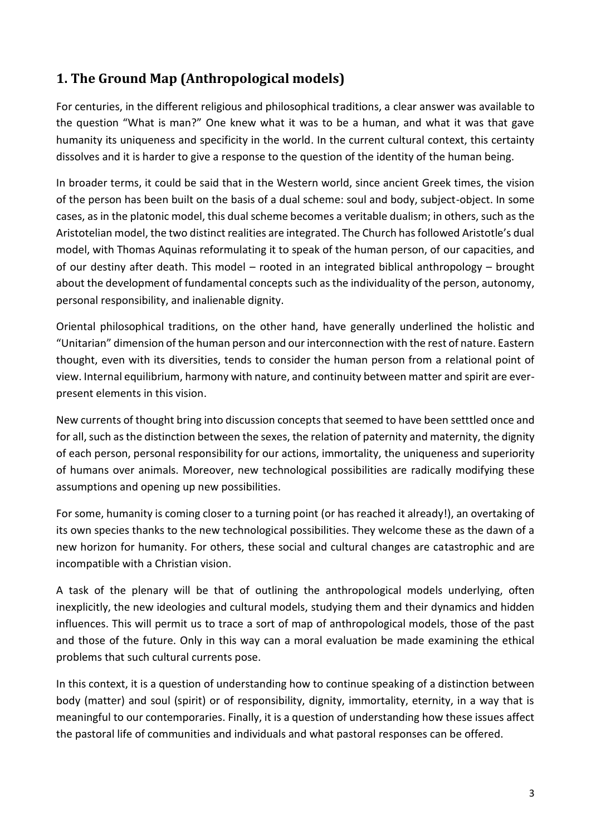# **1. The Ground Map (Anthropological models)**

For centuries, in the different religious and philosophical traditions, a clear answer was available to the question "What is man?" One knew what it was to be a human, and what it was that gave humanity its uniqueness and specificity in the world. In the current cultural context, this certainty dissolves and it is harder to give a response to the question of the identity of the human being.

In broader terms, it could be said that in the Western world, since ancient Greek times, the vision of the person has been built on the basis of a dual scheme: soul and body, subject-object. In some cases, as in the platonic model, this dual scheme becomes a veritable dualism; in others, such as the Aristotelian model, the two distinct realities are integrated. The Church has followed Aristotle's dual model, with Thomas Aquinas reformulating it to speak of the human person, of our capacities, and of our destiny after death. This model – rooted in an integrated biblical anthropology – brought about the development of fundamental concepts such as the individuality of the person, autonomy, personal responsibility, and inalienable dignity.

Oriental philosophical traditions, on the other hand, have generally underlined the holistic and "Unitarian" dimension of the human person and our interconnection with the rest of nature. Eastern thought, even with its diversities, tends to consider the human person from a relational point of view. Internal equilibrium, harmony with nature, and continuity between matter and spirit are everpresent elements in this vision.

New currents of thought bring into discussion concepts that seemed to have been setttled once and for all, such as the distinction between the sexes, the relation of paternity and maternity, the dignity of each person, personal responsibility for our actions, immortality, the uniqueness and superiority of humans over animals. Moreover, new technological possibilities are radically modifying these assumptions and opening up new possibilities.

For some, humanity is coming closer to a turning point (or has reached it already!), an overtaking of its own species thanks to the new technological possibilities. They welcome these as the dawn of a new horizon for humanity. For others, these social and cultural changes are catastrophic and are incompatible with a Christian vision.

A task of the plenary will be that of outlining the anthropological models underlying, often inexplicitly, the new ideologies and cultural models, studying them and their dynamics and hidden influences. This will permit us to trace a sort of map of anthropological models, those of the past and those of the future. Only in this way can a moral evaluation be made examining the ethical problems that such cultural currents pose.

In this context, it is a question of understanding how to continue speaking of a distinction between body (matter) and soul (spirit) or of responsibility, dignity, immortality, eternity, in a way that is meaningful to our contemporaries. Finally, it is a question of understanding how these issues affect the pastoral life of communities and individuals and what pastoral responses can be offered.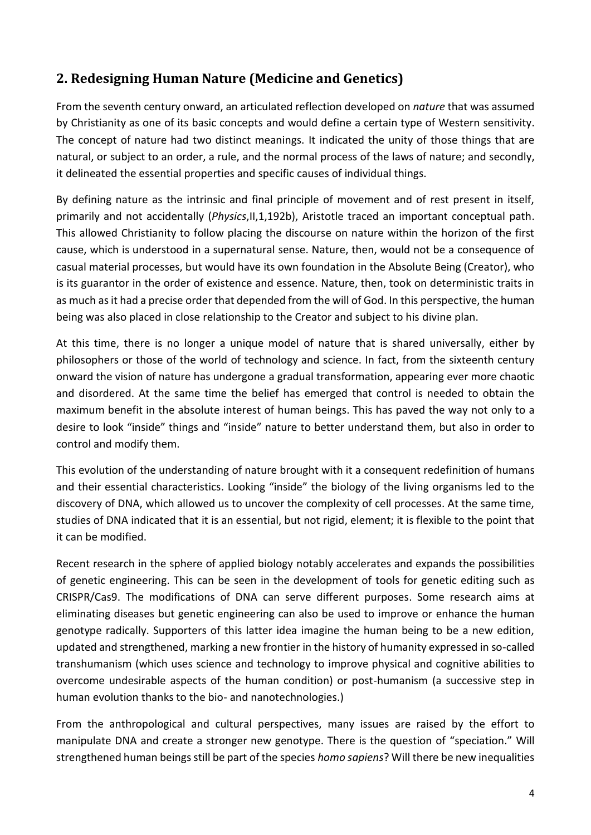# **2. Redesigning Human Nature (Medicine and Genetics)**

From the seventh century onward, an articulated reflection developed on *nature* that was assumed by Christianity as one of its basic concepts and would define a certain type of Western sensitivity. The concept of nature had two distinct meanings. It indicated the unity of those things that are natural, or subject to an order, a rule, and the normal process of the laws of nature; and secondly, it delineated the essential properties and specific causes of individual things.

By defining nature as the intrinsic and final principle of movement and of rest present in itself, primarily and not accidentally (*Physics*,II,1,192b), Aristotle traced an important conceptual path. This allowed Christianity to follow placing the discourse on nature within the horizon of the first cause, which is understood in a supernatural sense. Nature, then, would not be a consequence of casual material processes, but would have its own foundation in the Absolute Being (Creator), who is its guarantor in the order of existence and essence. Nature, then, took on deterministic traits in as much as it had a precise order that depended from the will of God. In this perspective, the human being was also placed in close relationship to the Creator and subject to his divine plan.

At this time, there is no longer a unique model of nature that is shared universally, either by philosophers or those of the world of technology and science. In fact, from the sixteenth century onward the vision of nature has undergone a gradual transformation, appearing ever more chaotic and disordered. At the same time the belief has emerged that control is needed to obtain the maximum benefit in the absolute interest of human beings. This has paved the way not only to a desire to look "inside" things and "inside" nature to better understand them, but also in order to control and modify them.

This evolution of the understanding of nature brought with it a consequent redefinition of humans and their essential characteristics. Looking "inside" the biology of the living organisms led to the discovery of DNA, which allowed us to uncover the complexity of cell processes. At the same time, studies of DNA indicated that it is an essential, but not rigid, element; it is flexible to the point that it can be modified.

Recent research in the sphere of applied biology notably accelerates and expands the possibilities of genetic engineering. This can be seen in the development of tools for genetic editing such as CRISPR/Cas9. The modifications of DNA can serve different purposes. Some research aims at eliminating diseases but genetic engineering can also be used to improve or enhance the human genotype radically. Supporters of this latter idea imagine the human being to be a new edition, updated and strengthened, marking a new frontier in the history of humanity expressed in so-called transhumanism (which uses science and technology to improve physical and cognitive abilities to overcome undesirable aspects of the human condition) or post-humanism (a successive step in human evolution thanks to the bio- and nanotechnologies.)

From the anthropological and cultural perspectives, many issues are raised by the effort to manipulate DNA and create a stronger new genotype. There is the question of "speciation." Will strengthened human beings still be part of the species *homo sapiens*? Will there be new inequalities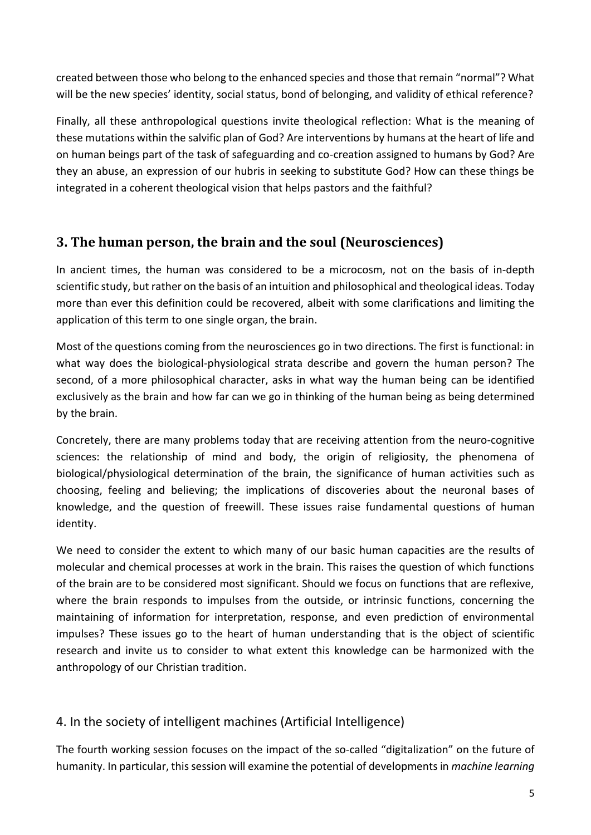created between those who belong to the enhanced species and those that remain "normal"? What will be the new species' identity, social status, bond of belonging, and validity of ethical reference?

Finally, all these anthropological questions invite theological reflection: What is the meaning of these mutations within the salvific plan of God? Are interventions by humans at the heart of life and on human beings part of the task of safeguarding and co-creation assigned to humans by God? Are they an abuse, an expression of our hubris in seeking to substitute God? How can these things be integrated in a coherent theological vision that helps pastors and the faithful?

### **3. The human person, the brain and the soul (Neurosciences)**

In ancient times, the human was considered to be a microcosm, not on the basis of in-depth scientific study, but rather on the basis of an intuition and philosophical and theological ideas. Today more than ever this definition could be recovered, albeit with some clarifications and limiting the application of this term to one single organ, the brain.

Most of the questions coming from the neurosciences go in two directions. The first is functional: in what way does the biological-physiological strata describe and govern the human person? The second, of a more philosophical character, asks in what way the human being can be identified exclusively as the brain and how far can we go in thinking of the human being as being determined by the brain.

Concretely, there are many problems today that are receiving attention from the neuro-cognitive sciences: the relationship of mind and body, the origin of religiosity, the phenomena of biological/physiological determination of the brain, the significance of human activities such as choosing, feeling and believing; the implications of discoveries about the neuronal bases of knowledge, and the question of freewill. These issues raise fundamental questions of human identity.

We need to consider the extent to which many of our basic human capacities are the results of molecular and chemical processes at work in the brain. This raises the question of which functions of the brain are to be considered most significant. Should we focus on functions that are reflexive, where the brain responds to impulses from the outside, or intrinsic functions, concerning the maintaining of information for interpretation, response, and even prediction of environmental impulses? These issues go to the heart of human understanding that is the object of scientific research and invite us to consider to what extent this knowledge can be harmonized with the anthropology of our Christian tradition.

#### 4. In the society of intelligent machines (Artificial Intelligence)

The fourth working session focuses on the impact of the so-called "digitalization" on the future of humanity. In particular, this session will examine the potential of developments in *machine learning*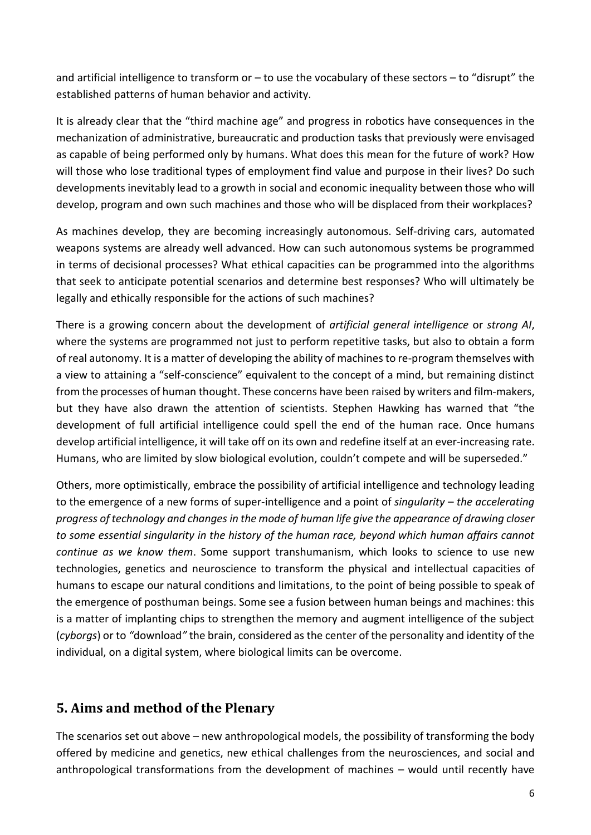and artificial intelligence to transform or – to use the vocabulary of these sectors – to "disrupt" the established patterns of human behavior and activity.

It is already clear that the "third machine age" and progress in robotics have consequences in the mechanization of administrative, bureaucratic and production tasks that previously were envisaged as capable of being performed only by humans. What does this mean for the future of work? How will those who lose traditional types of employment find value and purpose in their lives? Do such developments inevitably lead to a growth in social and economic inequality between those who will develop, program and own such machines and those who will be displaced from their workplaces?

As machines develop, they are becoming increasingly autonomous. Self-driving cars, automated weapons systems are already well advanced. How can such autonomous systems be programmed in terms of decisional processes? What ethical capacities can be programmed into the algorithms that seek to anticipate potential scenarios and determine best responses? Who will ultimately be legally and ethically responsible for the actions of such machines?

There is a growing concern about the development of *artificial general intelligence* or *strong AI*, where the systems are programmed not just to perform repetitive tasks, but also to obtain a form of real autonomy. It is a matter of developing the ability of machines to re-program themselves with a view to attaining a "self-conscience" equivalent to the concept of a mind, but remaining distinct from the processes of human thought. These concerns have been raised by writers and film-makers, but they have also drawn the attention of scientists. Stephen Hawking has warned that "the development of full artificial intelligence could spell the end of the human race. Once humans develop artificial intelligence, it will take off on its own and redefine itself at an ever-increasing rate. Humans, who are limited by slow biological evolution, couldn't compete and will be superseded."

Others, more optimistically, embrace the possibility of artificial intelligence and technology leading to the emergence of a new forms of super-intelligence and a point of *singularity* – *the accelerating progress of technology and changes in the mode of human life give the appearance of drawing closer to some essential singularity in the history of the human race, beyond which human affairs cannot continue as we know them*. Some support transhumanism, which looks to science to use new technologies, genetics and neuroscience to transform the physical and intellectual capacities of humans to escape our natural conditions and limitations, to the point of being possible to speak of the emergence of posthuman beings. Some see a fusion between human beings and machines: this is a matter of implanting chips to strengthen the memory and augment intelligence of the subject (*cyborgs*) or to *"*download*"* the brain, considered as the center of the personality and identity of the individual, on a digital system, where biological limits can be overcome.

### **5. Aims and method of the Plenary**

The scenarios set out above – new anthropological models, the possibility of transforming the body offered by medicine and genetics, new ethical challenges from the neurosciences, and social and anthropological transformations from the development of machines – would until recently have